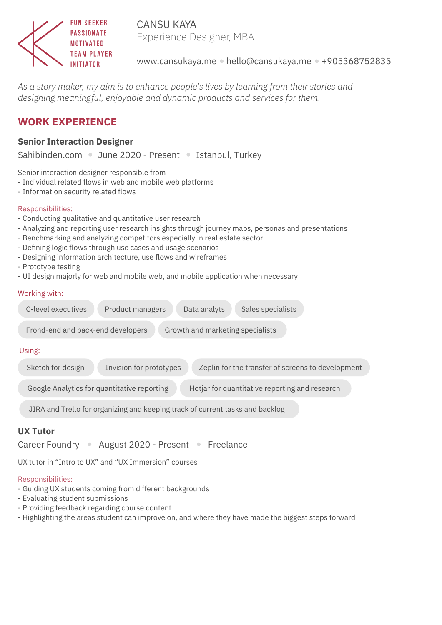

CANSU KAYA Experience Designer, MBA

www.cansukaya.me • hello@cansukaya.me • +905368752835

*As a story maker, my aim is to enhance people's lives by learning from their stories and designing meaningful, enjoyable and dynamic products and services for them.*

# **WORK EXPERIENCE**

### **Senior Interaction Designer**

Sahibinden.com • June 2020 - Present • Istanbul, Turkey

Senior interaction designer responsible from

- Individual related flows in web and mobile web platforms
- Information security related flows

#### Responsibilities:

- Conducting qualitative and quantitative user research
- Analyzing and reporting user research insights through journey maps, personas and presentations
- Benchmarking and analyzing competitors especially in real estate sector
- Defining logic flows through use cases and usage scenarios
- Designing information architecture, use flows and wireframes
- Prototype testing
- UI design majorly for web and mobile web, and mobile application when necessary

#### Working with:

| C-level executives<br>Product managers<br>Data analyts<br>Sales specialists                       |  |  |  |  |
|---------------------------------------------------------------------------------------------------|--|--|--|--|
| Frond-end and back-end developers<br>Growth and marketing specialists                             |  |  |  |  |
| Using:                                                                                            |  |  |  |  |
| Sketch for design<br>Zeplin for the transfer of screens to development<br>Invision for prototypes |  |  |  |  |
| Google Analytics for quantitative reporting<br>Hotjar for quantitative reporting and research     |  |  |  |  |
| JIRA and Trello for organizing and keeping track of current tasks and backlog                     |  |  |  |  |

#### **UX Tutor**

Career Foundry • August 2020 - Present • Freelance

UX tutor in "Intro to UX" and "UX Immersion" courses

#### Responsibilities:

- Guiding UX students coming from different backgrounds
- Evaluating student submissions
- Providing feedback regarding course content
- Highlighting the areas student can improve on, and where they have made the biggest steps forward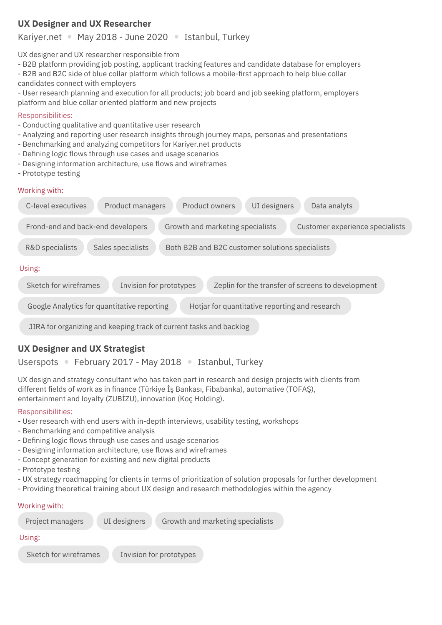# **UX Designer and UX Researcher**

# Kariyer.net • May 2018 - June 2020 • Istanbul, Turkey

UX designer and UX researcher responsible from

- B2B platform providing job posting, applicant tracking features and candidate database for employers
- B2B and B2C side of blue collar platform which follows a mobile-first approach to help blue collar candidates connect with employers
- User research planning and execution for all products; job board and job seeking platform, employers platform and blue collar oriented platform and new projects

# Responsibilities:

- Conducting qualitative and quantitative user research
- Analyzing and reporting user research insights through journey maps, personas and presentations
- Benchmarking and analyzing competitors for Kariyer.net products
- Defining logic flows through use cases and usage scenarios
- Designing information architecture, use flows and wireframes
- Prototype testing

# Working with:

| Product owners<br>UI designers<br>C-level executives<br>Data analyts<br>Product managers                 |
|----------------------------------------------------------------------------------------------------------|
| Customer experience specialists<br>Frond-end and back-end developers<br>Growth and marketing specialists |
| Both B2B and B2C customer solutions specialists<br>R&D specialists<br>Sales specialists                  |
| Using:                                                                                                   |
| Sketch for wireframes<br>Invision for prototypes<br>Zeplin for the transfer of screens to development    |
| Google Analytics for quantitative reporting<br>Hotjar for quantitative reporting and research            |

JIRA for organizing and keeping track of current tasks and backlog

# **UX Designer and UX Strategist**

Userspots • February 2017 - May 2018 • Istanbul, Turkey

UX design and strategy consultant who has taken part in research and design projects with clients from different fields of work as in finance (Türkiye İş Bankası, Fibabanka), automative (TOFAŞ), entertainment and loyalty (ZUBİZU), innovation (Koç Holding).

## Responsibilities:

- User research with end users with in-depth interviews, usability testing, workshops
- Benchmarking and competitive analysis
- Defining logic flows through use cases and usage scenarios
- Designing information architecture, use flows and wireframes
- Concept generation for existing and new digital products
- Prototype testing
- UX strategy roadmapping for clients in terms of prioritization of solution proposals for further development
- Providing theoretical training about UX design and research methodologies within the agency

#### Working with:

| Project managers      | UI designers | Growth and marketing specialists |  |  |
|-----------------------|--------------|----------------------------------|--|--|
| Using:                |              |                                  |  |  |
| Sketch for wireframes |              | Invision for prototypes          |  |  |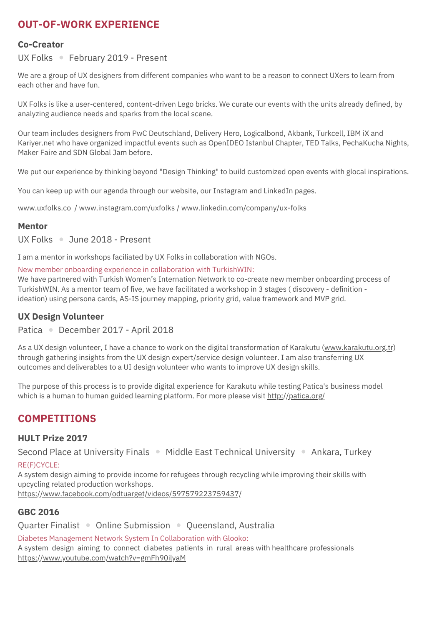# **OUT-OF-WORK EXPERIENCE**

#### **Co-Creator**

UX Folks • February 2019 - Present

We are a group of UX designers from different companies who want to be a reason to connect UXers to learn from each other and have fun.

UX Folks is like a user-centered, content-driven Lego bricks. We curate our events with the units already defined, by analyzing audience needs and sparks from the local scene.

Our team includes designers from PwC Deutschland, Delivery Hero, Logicalbond, Akbank, Turkcell, IBM iX and Kariyer.net who have organized impactful events such as OpenIDEO Istanbul Chapter, TED Talks, PechaKucha Nights, Maker Faire and SDN Global Jam before.

We put our experience by thinking beyond "Design Thinking" to build customized open events with glocal inspirations.

You can keep up with our agenda through our website, our Instagram and LinkedIn pages.

www.uxfolks.co / www.instagram.com/uxfolks / www.linkedin.com/company/ux-folks

#### **Mentor**

UX Folks June 2018 - Present

I am a mentor in workshops faciliated by UX Folks in collaboration with NGOs.

New member onboarding experience in collaboration with TurkishWIN:

We have partnered with Turkish Women's Internation Network to co-create new member onboarding process of TurkishWIN. As a mentor team of five, we have facilitated a workshop in 3 stages ( discovery - definition ideation) using persona cards, AS-IS journey mapping, priority grid, value framework and MVP grid.

#### **UX Design Volunteer**

Patica December 2017 - April 2018

As a UX design volunteer, I have a chance to work on the digital transformation of Karakutu (www.karakutu.org.tr) through gathering insights from the UX design expert/service design volunteer. I am also transferring UX outcomes and deliverables to a UI design volunteer who wants to improve UX design skills.

The purpose of this process is to provide digital experience for Karakutu while testing Patica's business model which is a human to human guided learning platform. For more please visit http://patica.org/

# **COMPETITIONS**

#### **HULT Prize 2017**

Second Place at University Finals • Middle East Technical University • Ankara, Turkey

RE(F)CYCLE:

A system design aiming to provide income for refugees through recycling while improving their skills with upcycling related production workshops. https://www.facebook.com/odtuarget/videos/597579223759437/

## **GBC 2016**

Quarter Finalist • Online Submission • Queensland, Australia

Diabetes Management Network System In Collaboration with Glooko:

A system design aiming to connect diabetes patients in rural areas with healthcare professionals https://www.youtube.com/watch?v=gmFh90ilyaM